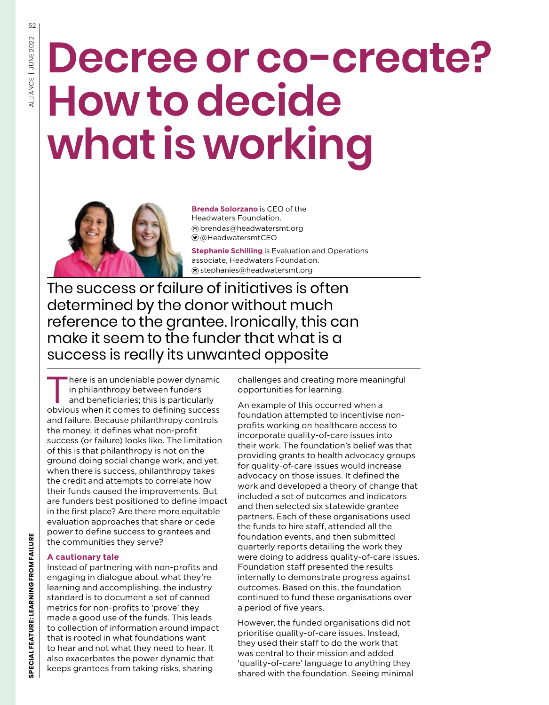52

# **Decree or co-create? How to decide what is working**



**Brenda Solorzano** is CEO of the Headwaters Foundation. brendas@headwatersmt.org @HeadwatersmtCEO

**Stephanie Schilling** is Evaluation and Operations associate, Headwaters Foundation. stephanies@headwatersmt.org

The success or failure of initiatives is often determined by the donor without much reference to the grantee. Ironically, this can make it seem to the funder that what is a success is really its unwanted opposite

There is an undeniable power dynamic<br>
in philanthropy between funders<br>
and beneficiaries; this is particularly in philanthropy between funders obvious when it comes to defining success and failure. Because philanthropy controls the money, it defines what non-profit success (or failure) looks like. The limitation of this is that philanthropy is not on the ground doing social change work, and yet, when there is success, philanthropy takes the credit and attempts to correlate how their funds caused the improvements. But are funders best positioned to define impact in the first place? Are there more equitable evaluation approaches that share or cede power to define success to grantees and the communities they serve?

### **A cautionary tale**

Instead of partnering with non-profits and engaging in dialogue about what they're learning and accomplishing, the industry standard is to document a set of canned metrics for non-profits to 'prove' they made a good use of the funds. This leads to collection of information around impact that is rooted in what foundations want to hear and not what they need to hear. It also exacerbates the power dynamic that keeps grantees from taking risks, sharing

challenges and creating more meaningful opportunities for learning.

An example of this occurred when a foundation attempted to incentivise nonprofits working on healthcare access to incorporate quality-of-care issues into their work. The foundation's belief was that providing grants to health advocacy groups for quality-of-care issues would increase advocacy on those issues. It defined the work and developed a theory of change that included a set of outcomes and indicators and then selected six statewide grantee partners. Each of these organisations used the funds to hire staff, attended all the foundation events, and then submitted quarterly reports detailing the work they were doing to address quality-of-care issues. Foundation staff presented the results internally to demonstrate progress against outcomes. Based on this, the foundation continued to fund these organisations over a period of five years.

However, the funded organisations did not prioritise quality-of-care issues. Instead, they used their staff to do the work that was central to their mission and added 'quality-of-care' language to anything they shared with the foundation. Seeing minimal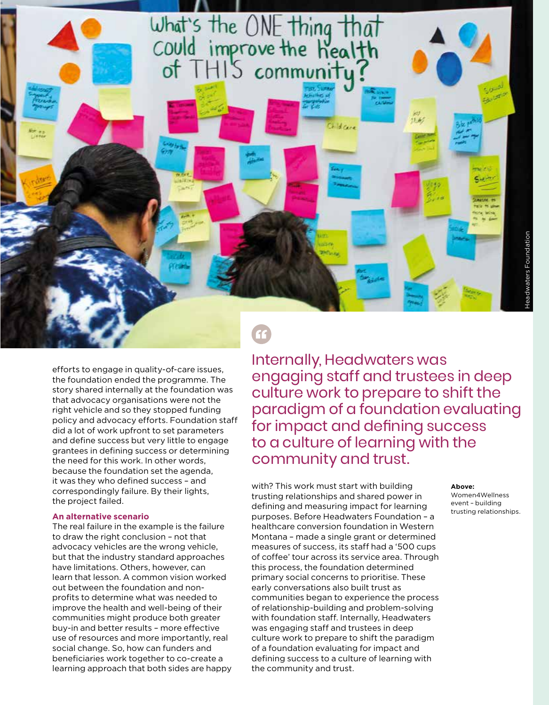

efforts to engage in quality-of-care issues, the foundation ended the programme. The story shared internally at the foundation was that advocacy organisations were not the right vehicle and so they stopped funding policy and advocacy efforts. Foundation staff did a lot of work upfront to set parameters and define success but very little to engage grantees in defining success or determining the need for this work. In other words, because the foundation set the agenda, it was they who defined success – and correspondingly failure. By their lights, the project failed.

#### **An alternative scenario**

The real failure in the example is the failure to draw the right conclusion – not that advocacy vehicles are the wrong vehicle, but that the industry standard approaches have limitations. Others, however, can learn that lesson. A common vision worked out between the foundation and nonprofits to determine what was needed to improve the health and well-being of their communities might produce both greater buy-in and better results – more effective use of resources and more importantly, real social change. So, how can funders and beneficiaries work together to co-create a learning approach that both sides are happy

## Internally, Headwaters was engaging staff and trustees in deep culture work to prepare to shift the paradigm of a foundation evaluating for impact and defining success to a culture of learning with the community and trust.

with? This work must start with building trusting relationships and shared power in defining and measuring impact for learning purposes. Before Headwaters Foundation – a healthcare conversion foundation in Western Montana – made a single grant or determined measures of success, its staff had a '500 cups of coffee' tour across its service area. Through this process, the foundation determined primary social concerns to prioritise. These early conversations also built trust as communities began to experience the process of relationship-building and problem-solving with foundation staff. Internally, Headwaters was engaging staff and trustees in deep culture work to prepare to shift the paradigm of a foundation evaluating for impact and defining success to a culture of learning with the community and trust.

#### **Above:**

Women4Wellness event – building trusting relationships.